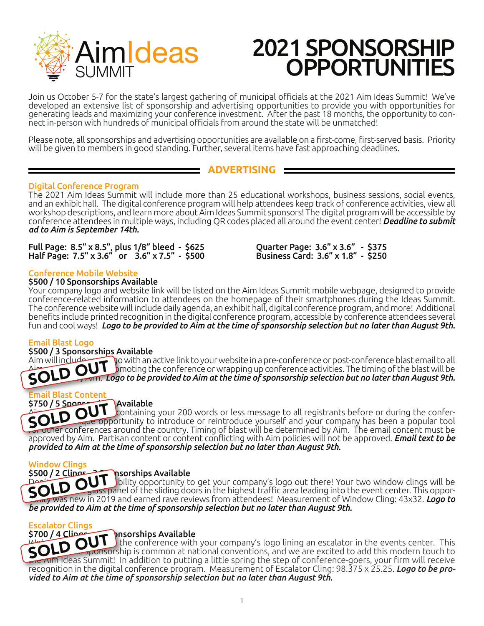

Join us October 5-7 for the state's largest gathering of municipal officials at the 2021 Aim Ideas Summit! We've developed an extensive list of sponsorship and advertising opportunities to provide you with opportunities for generating leads and maximizing your conference investment. After the past 18 months, the opportunity to con-<br>nect in-person with hundreds of municipal officials from around the state will be unmatched!

Please note, all sponsorships and advertising opportunities are available on a first-come, first-served basis. Priority will be given to members in good standing. Further, several items have fast approaching deadlines.

### **ADVERTISING**

### Digital Conference Program

The 2021 Aim Ideas Summit will include more than 25 educational workshops, business sessions, social events, and an exhibit hall. The digital conference program will help attendees keep track of conference activities, view all workshop descriptions, and learn more about Aim Ideas Summit sponsors! The digital program will be accessible by conference attendees in multiple ways, including QR codes placed all around the event center! *Deadline to submit ad to Aim is September 14th.*

Full Page: 8.5" x 8.5", plus 1/8" bleed - \$625 Quarter Page: 3.6" x 3.6" - \$375 Half Page: 7.5" x 3.6" or 3.6" x 7.5" - \$500 Business Card: 3.6" x 1.8" - \$250

### Conference Mobile Website

### \$500 / 10 Sponsorships Available

Your company logo and website link will be listed on the Aim Ideas Summit mobile webpage, designed to provide conference-related information to attendees on the homepage of their smartphones during the Ideas Summit. The conference website will include daily agenda, an exhibit hall, digital conference program, and more! Additional benefits include printed recognition in the digital conference program, accessible by conference attendees several fun and cool ways! *Logo to be provided to Aim at the time of sponsorship selection but no later than August 9th.* 

### Email Blast Logo

## \$500 / 3 Sponsorships Available<br>Aim will include the No with an a

Aim will include your logo with an active link to your website in a pre-conference or post-conference blast email to all Aim with the blast email to all<br>Aim with members of the blast will be bonding the conference or wrapping up conference activities. The timing of the blast will be **SOLD OUT** binoting the conference or wrapping up conferenc  $\overline{A}$ <sub>11111</sub>. *Logo to be provided to Aim at the time of sponsorship selection but no later than August 9th.* 

## Email Blast Content

### $$750 / 5$  Sponsorships Available

S750753888975307538889753075388897530753888975307538889753075388897530753888975307538889753075388897<br>SOLD OUT containing your 200 words or less message to all registrants before or during the conferfor other conferences around the country. Timing of blast will be determined by Aim. The email content must be approved by Aim. Partisan content or content conflicting with Aim policies will not be approved. *Email text to be provided to Aim at the time of sponsorship selection but no later than August 9th.*

Window Clings

\$500 / 2 Clings - 3 Spoonships Available DOLD OUT Jibility opportunity to get your company's logo out there! Your two window clings will be **SOLD** Out also poporrity was new in 2019 and earned rave reviews from attendees! Measurement of Window Cling: 43x32. *Logo to be provided to Aim at the time of sponsorship selection but no later than August 9th.*  OUT<sup>®</sup>

## Escalator Clings<br>بعضمنا) 4 / 5700

### \$700 / 4 Clipes – 6 pnsorships Available

S7007 4 COLD OUT This distings Available<br>
SOLD OUT the conference with your company's logo lining an escalator in the events center. This  $\sim$  $\epsilon$  sponsorship is common at national conventions, and we are excited to add this modern touch to the AIM Ideas Summit! In addition to putting a little spring the step of conference-goers, your firm will receive recognition in the digital conference program. Measurement of Escalator Cling: 98.375 x 25.25. *Logo to be pro- vided to Aim at the time of sponsorship selection but no later than August 9th.*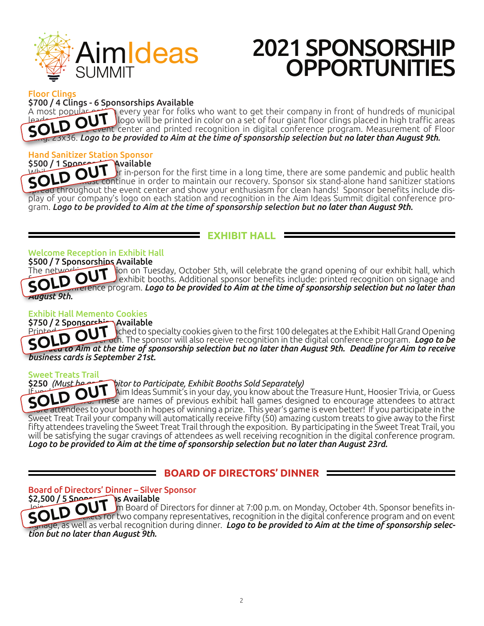

Floor Clings \$700 / 4 Clings - 6 Sponsorships Available

A most popular option every year for folks who want to get their company in front of hundreds of municipal leaders! Your company logo will be printed in color on a set of four giant floor clings placed in high traffic areas throughout throughout the event center and printed recognition in digital conference program. Measurement of Floor Cling: 23x36. *Logo to be provided to Aim at the time of sponsorship selection but no later than August 9th.* A MOSC POPULATION

## Hand Sanitizer Station Sponsor

\$500 / 1 Sponsor Available  $\mathbf k$ r in-person for the first time in a long time, there are some pandemic and public health part continue in order to maintain our recovery. Sponsor six stand-alone hand sanitizer stations pread throughout the event center and show your enthusiasm for clean hands! Sponsor benefits include display of your company's logo on each station and recognition in the Aim Ideas Summit digital conference program.<br>Gram.

### **EXHIBIT HALL**

### Welcome Reception in Exhibit Hall

\$500 / 7 Sponsorships Available<br>The network on Tur

ion on Tuesday, October 5th, will celebrate the grand opening of our exhibit hall, which exhibit booths. Additional sponsor benefits include: printed recognition on signage and in digital conference program. *Logo to be provided to Aim at the time of sponsorship selection but no later than August 9th.* **OUT** 

### Exhibit Hall Memento Cookies

\$750 / 2 Sponsorship Available Printed recognition attached to specialty cookies given to the first 100 delegates at the Exhibit Hall Grand Opening SOLD Tuesday, The sponsor will also receive recognition in the digital conference program. *Logo to be*  $\sim$ *printed to Specialty cookies given to the first 100 delegates at the Exhibit Hall Grand Opening*<br>
SOLD OUT oth. The sponsor will also receive recognition in the digital conference program. Logo to be<br>
SOLD OAim at the tim *business cards is September 21st.*

## Sweet Treats Trail<br>\$250 (Must be

### \$250 *(Must be an Exhibitor to Participate, Exhibit Booths Sold Separately)*

Aim Ideas Summit's in your day, you know about the Treasure Hunt, Hoosier Trivia, or Guess the Secret These are names of previous exhibit hall games designed to encourage attendees to attract  $\pi$ e attendees to your booth in hopes of winning a prize. This year's game is even better! If you participate in the Sweet Treat Trail your company will automatically receive fifty (50) amazing custom treats to give away to the first fifty attendees traveling the Sweet Treat Trail through the exposition. By participating in the Sweet Treat Trail, you will be satisfying the sugar cravings of attendees as well receiving recognition in the digital conference program. *Logo to be provided to Aim at the time of sponsorship selection but no later than August 23rd.*  SO<sub>1</sub>

### **BOARD OF DIRECTORS' DINNER**

Board of Directors' Dinner – Silver Sponsor

<u>م</u>عمم<u>5 / 5</u>2,500  $\ln$  Board of Directors for dinner at 7:00 p.m. on Monday, October 4th. Sponsor benefits in- $\kappa$ ets for two company representatives, recognition in the digital conference program and on event gridge, as well as verbal recognition during dinner. *Logo to be provided to Aim at the time of sponsorship selection but no later than August 9th.* **OUT**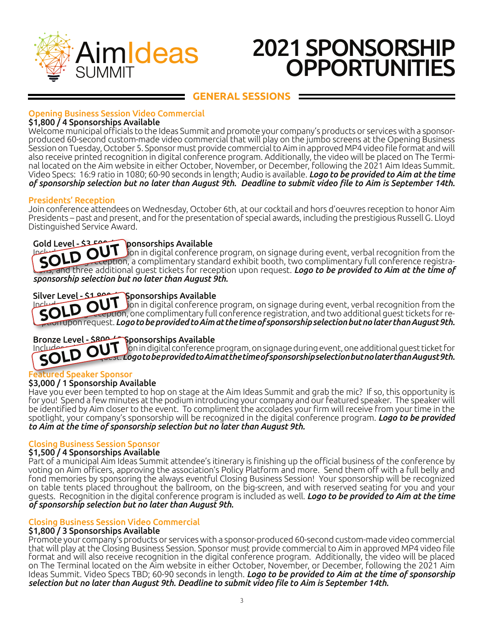

### **GENERAL SESSIONS**

### Opening Business Session Video Commercial

### \$1,800 / 4 Sponsorships Available

Welcome municipal officials to the Ideas Summit and promote your company's products or services with a sponsorproduced 60-second custom-made video commercial that will play on the jumbo screens at the Opening Business Session on Tuesday, October 5. Sponsor must provide commercial to Aim in approved MP4 video file format and will also receive printed recognition in digital conference program. Additionally, the video will be placed on The Terminal located on the Aim website in either October, November, or December, following the 2021 Aim Ideas Summit. Video Specs: 16:9 ratio in 1080; 60-90 seconds in length; Audio is available. *Logo to be provided to Aim at the time of sponsorship selection but no later than August 9th. Deadline to submit video file to Aim is September 14th.*

### Presidents' Reception

Join conference attendees on Wednesday, October 6th, at our cocktail and hors d'oeuvres reception to honor Aim Presidents – past and present, and for the presentation of special awards, including the prestigious Russell G. Lloyd Distinguished Service Award.

### Gold Level - \$3,500 ponsorships Available

**SOLD Secondition** in digital conference program, on signage during event, verbal recognition from the **SOLD** Secreption, a complimentary standard exhibit booth, two complimentary full conference registrapolis reception, a complimentary standard exhibit booth, two complimentary full conference registra-<br>SOLD OUT fon in digital conference program, on signage during event, verbal recognition from the tions, and three additional guest tickets for reception upon request. *Logo to be provided to Aim at the time of sponsorship selection but no later than August 9th.*

### Silver Level - \$1,800 / 4 Sponsorships Available

Includes Level 2000 Show in digital conference program, on signage during event, verbal recognition from the principle of the conference program, on signage during event, verbal recognition from the state of the compliment ception, one complimentary full conference registration, and two additional guest tickets for reception upon request. *Logo to be provided to Aim at the time of sponsorship selection but no later than August 9th.*

### Bronze Level - \$800 / Sponsorships Available

Includes printed recognition in digital conference program, on signage during event, one additional guest ticket for reception upon request. *Logo to be provided to Aim at the time of sponsorship selection but no later than August 9th.* SOLD

### d Speaker Sponsor

### \$3,000 / 1 Sponsorship Available

Have you ever been tempted to hop on stage at the Aim Ideas Summit and grab the mic? If so, this opportunity is for you! Spend a few minutes at the podium introducing your company and our featured speaker. The speaker will be identified by Aim closer to the event. To compliment the accolades your firm will receive from your time in the spotlight, your company's sponsorship will be recognized in the digital conference program. *Logo to be provided to Aim at the time of sponsorship selection but no later than August 9th.*

### Closing Business Session Sponsor

### \$1,500 / 4 Sponsorships Available

Part of a municipal Aim Ideas Summit attendee's itinerary is finishing up the official business of the conference by voting on Aim officers, approving the association's Policy Platform and more. Send them off with a full belly and fond memories by sponsoring the always eventful Closing Business Session! Your sponsorship will be recognized on table tents placed throughout the ballroom, on the big-screen, and with reserved seating for you and your guests. Recognition in the digital conference program is included as well. *Logo to be provided to Aim at the time of sponsorship selection but no later than August 9th.*

### Closing Business Session Video Commercial

### \$1,800 / 3 Sponsorships Available

Promote your company's products or services with a sponsor-produced 60-second custom-made video commercial that will play at the Closing Business Session. Sponsor must provide commercial to Aim in approved MP4 video file format and will also receive recognition in the digital conference program. Additionally, the video will be placed on The Terminal located on the Aim website in either October, November, or December, following the 2021 Aim Ideas Summit. Video Specs TBD; 60-90 seconds in length. *Logo to be provided to Aim at the time of sponsorship selection but no later than August 9th. Deadline to submit video file to Aim is September 14th.*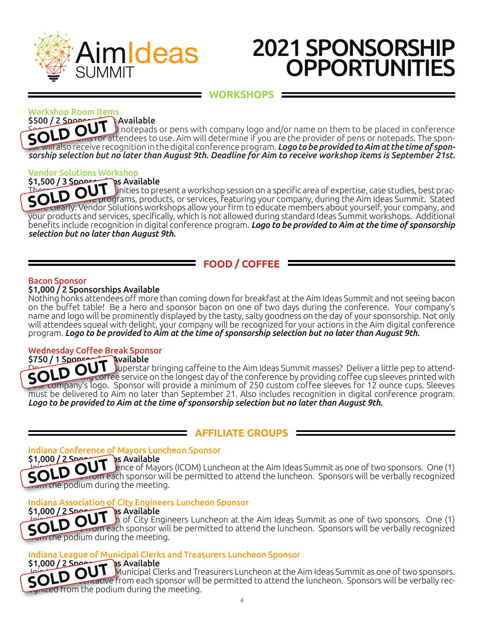

### **WORKSHOPS**

## Workshop Room Items

\$500 / 2 Sponsorships Available Spoons of a branch or pens with company logo and/or name on them to be placed in conference<br>
SOLD OUT binotepads or pens with company logo and/or name on them to be placed in conference in the sponworkshop rooms of pens with company to go analyst hanne on chemic or persect in complements. sor will also receive recognition in the digital conference program. *Logo to be provided to Aim at the time of sponsorship selection but no later than August 9th. Deadline for Aim to receive workshop items is September 21st.*

## Vendor Solutions Workshop

### $$1,500 / 3$  Sponsorships Available

 $\text{TD}$  inities to present a workshop session on a specific area of expertise, case studies, best prac-There is a control of the matter of the Theory of the Theory of The Theory of The Theory of The Theory of The Theory of The Theory of The Aim Ideas Summit. Stated Solutions workshops allow your firm to educate members abou SOLUTION: Vendor Solutions workshops allow your firm to educate members about yourself, your company, and<br>Interactivity Vendor Solutions workshops allow your firm to educate members about yourself, your company, and your products and services, specifically, which is not allowed during standard Ideas Summit workshops. Additional benefits include recognition in digital conference program. *Logo to be provided to Aim at the time of sponsorship selection but no later than August 9th.*

### **FOOD / COFFEE**

### Bacon Sponsor

### \$1,000 / 2 Sponsorships Available

Nothing honks attendees off more than coming down for breakfast at the Aim Ideas Summit and not seeing bacon on the buffet table! Be a hero and sponsor bacon on one of two days during the conference. Your company's name and logo will be prominently displayed by the tasty, salty goodness on the day of your sponsorship. Not only will attendees squeal with delight, your company will be recognized for your actions in the Aim digital conference program. *Logo to be provided to Aim at the time of sponsorship selection but no later than August 9th.*

## Wednesday Coffee Break Sponsor

 $5750 / 1$  Sponsor  $\overline{U}$ **COLD OU** U superstar bringing caffeine to the Aim Ideas Summit masses? Deliver a little pep to attend-<br>COLD Our corree service on the longest day of the conference by providing coffee cup sleeves printed with SASO TISBUTT Superstar bringing caffeine to the Aim Ideas Summit masses? Deliver a little pep to attend-<br>SOLD OUT coffee service on the longest day of the conference by providing coffee cup sleeves printed with<br>Company's l must be delivered to Aim no later than September 21. Also includes recognition in digital conference program. *Logo to be provided to Aim at the time of sponsorship selection but no later than August 9th.* 

### **AFFILIATE GROUPS**

## Indiana Conference of Mayors Luncheon Sponsor

\$1,000 / 2 Spot T S Available<br>SOLD OUT each sponsor Join the Indiana Conference of Mayors (ICOM) Luncheon at the Aim Ideas Summit as one of two sponsors. One (1)<br>SOLD Critical sponsor will be permitted to attend the luncheon. Sponsors will be verbally recognized  $\epsilon$  rrom each sponsor will be permitted to attend the luncheon. Sponsors will be verbally recognized om the podium during the meeting.

### $$1,000 / 2$ Sports Available  $$$

Indiana Association of City Engineers Luncheon Sponsor<br>\$1,000 / 2 Sponsor Sponsor Sponsor<br>Collection of City Engineers Luncheon at th  $\ln$  of City Engineers Luncheon at the Aim Ideas Summit as one of two sponsors. One (1) From each sponsor will be permitted to attend the luncheon. Sponsors will be verbally recognized on the podium during the meeting. SOLD

## Indiana League of Municipal Clerks and Treasurers Luncheon Sponsor

 $$1,000 / 2$   $2$  Spaces Municipal Clerks and Treasurers Luncheon at the Aim Ideas Summit as one of two sponsors.  $SO$   $\blacksquare$   $\blacksquare$   $\blacksquare$  from each sponsor will be permitted to attend the luncheon. Sponsors will be verbally rec- orgnized from the podium during the meeting. **OUT**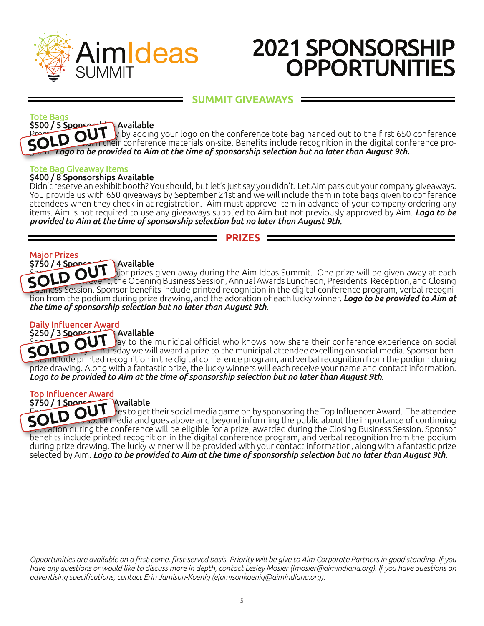

### **SUMMIT GIVEAWAYS**

#### Tote Bags

\$500 / 5 Sponsorship Available  $\mu$  by adding your logo on the conference tote bag handed out to the first 650 conference ant their conference materials on-site. Benefits include recognition in the digital conference program. **Logo to be provided to Aim at the time of sponsorship selection but no later than August 9th.**<br>SOLD OUT their conference materials on-site. Benefits include recognition in the digital configuration but no later than

### Tote Bag Giveaway Items

### \$400 / 8 Sponsorships Available

Didn't reserve an exhibit booth? You should, but let's just say you didn't. Let Aim pass out your company giveaways. You provide us with 650 giveaways by September 21st and we will include them in tote bags given to conference attendees when they check in at registration. Aim must approve item in advance of your company ordering any items. Aim is not required to use any giveaways supplied to Aim but not previously approved by Aim. *Logo to be provided to Aim at the time of sponsorship selection but no later than August 9th.*

### **PRIZES**

### Major Prizes

### $$750 / 4$  Sponsorships Available

 $\mathbf s$  prizes given away during the Aim Ideas Summit. One prize will be given away at each general session event, the Opening Business Session, Annual Awards Luncheon, Presidents' Reception, and Closing SPOLD OUT Jion prizes given away during the Aim Ideas Summit. One prize will be given away at each<br>SOLD OUT Jion prizes given away during the Aim Ideas Summit. One prize will be given away at each<br>Souriess Session. Sponsor tion from the podium during prize drawing, and the adoration of each lucky winner. *Logo to be provided to Aim at the time of sponsorship selection but no later than August 9th.*

### Daily Influencer Award

### \$250 / 3 Sponsorships Available

SOLD OU Jay to the municipal official who knows how share their conference experience on social<br>SOLD OU Inursday we will award a prize to the municipal attendee excelling on social media. Sponsor ben-SOLD OUT Javanable<br>SOLD OUT Jay to the municipal official who knows how share their conference experience on social<br>SOLD OUT Inursday we will award a prize to the municipal attendee excelling on social media. Sponsor benprize drawing. Along with a fantastic prize, the lucky winners will each receive your name and contact information. *Logo to be provided to Aim at the time of sponsorship selection but no later than August 9th.*

### Top Influencer Award

### $$750 / 1$  Sponsorship Available

SPECIFIC AVAILADLE<br>
SOLD OUT Ses to get their social media game on by sponsoring the Top Influencer Award. The attendee Social media and goes above and beyond informing the public about the importance of continuing SOLD Social media and goes above and beyond informing the public about the importance of continuing education during the conference will be eligible for a prize, awarded during the Closing Business Session. Sponsor benefits include printed recognition in the digital conference program, and verbal recognition from the podium during prize drawing. The lucky winner will be provided with your contact information, along with a fantastic prize selected by Aim. *Logo to be provided to Aim at the time of sponsorship selection but no later than August 9th.*

*Opportunities are available on a first-come, first-served basis. Priority will be give to Aim Corporate Partners in good standing. If you have any questions or would like to discuss more in depth, contact Lesley Mosier (lmosier@aimindiana.org). If you have questions on adveritising specifications, contact Erin Jamison-Koenig (ejamisonkoenig@aimindiana.org).*